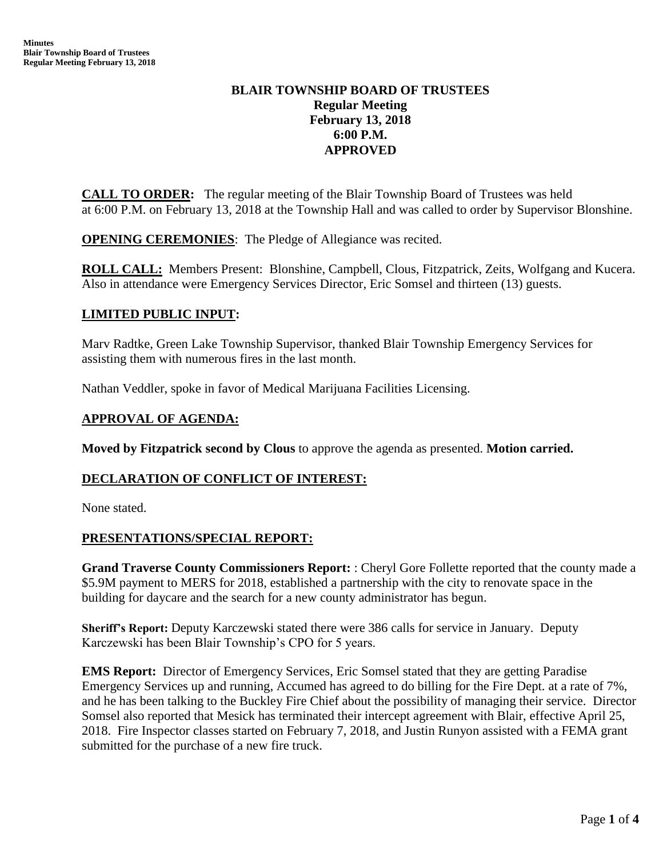# **BLAIR TOWNSHIP BOARD OF TRUSTEES Regular Meeting February 13, 2018 6:00 P.M. APPROVED**

**CALL TO ORDER:** The regular meeting of the Blair Township Board of Trustees was held at 6:00 P.M. on February 13, 2018 at the Township Hall and was called to order by Supervisor Blonshine.

**OPENING CEREMONIES**: The Pledge of Allegiance was recited.

**ROLL CALL:** Members Present: Blonshine, Campbell, Clous, Fitzpatrick, Zeits, Wolfgang and Kucera. Also in attendance were Emergency Services Director, Eric Somsel and thirteen (13) guests.

# **LIMITED PUBLIC INPUT:**

Marv Radtke, Green Lake Township Supervisor, thanked Blair Township Emergency Services for assisting them with numerous fires in the last month.

Nathan Veddler, spoke in favor of Medical Marijuana Facilities Licensing.

## **APPROVAL OF AGENDA:**

**Moved by Fitzpatrick second by Clous** to approve the agenda as presented. **Motion carried.**

## **DECLARATION OF CONFLICT OF INTEREST:**

None stated.

## **PRESENTATIONS/SPECIAL REPORT:**

**Grand Traverse County Commissioners Report:** : Cheryl Gore Follette reported that the county made a \$5.9M payment to MERS for 2018, established a partnership with the city to renovate space in the building for daycare and the search for a new county administrator has begun.

**Sheriff's Report:** Deputy Karczewski stated there were 386 calls for service in January. Deputy Karczewski has been Blair Township's CPO for 5 years.

**EMS Report:** Director of Emergency Services, Eric Somsel stated that they are getting Paradise Emergency Services up and running, Accumed has agreed to do billing for the Fire Dept. at a rate of 7%, and he has been talking to the Buckley Fire Chief about the possibility of managing their service. Director Somsel also reported that Mesick has terminated their intercept agreement with Blair, effective April 25, 2018. Fire Inspector classes started on February 7, 2018, and Justin Runyon assisted with a FEMA grant submitted for the purchase of a new fire truck.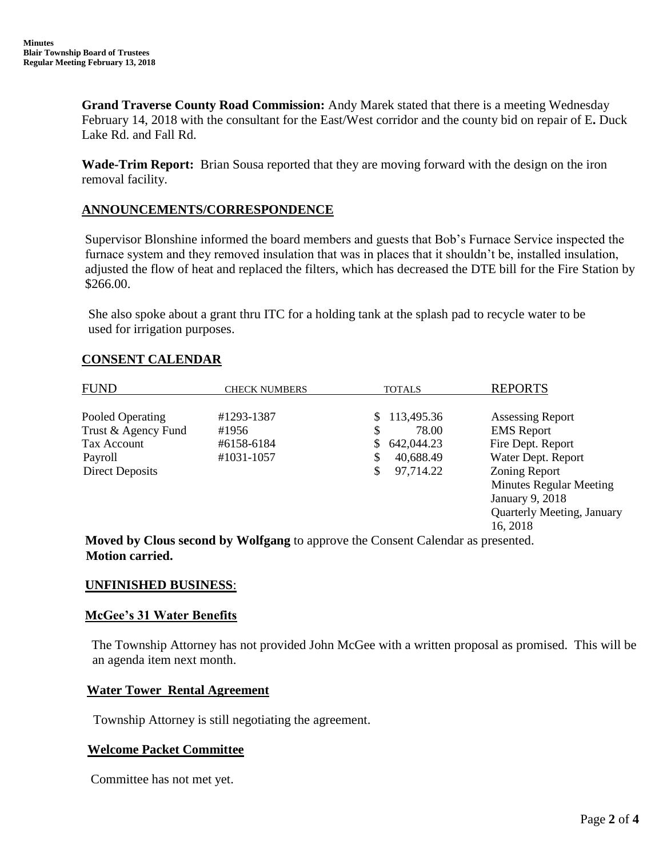**Grand Traverse County Road Commission:** Andy Marek stated that there is a meeting Wednesday February 14, 2018 with the consultant for the East/West corridor and the county bid on repair of E**.** Duck Lake Rd. and Fall Rd.

**Wade-Trim Report:** Brian Sousa reported that they are moving forward with the design on the iron removal facility.

## **ANNOUNCEMENTS/CORRESPONDENCE**

 Supervisor Blonshine informed the board members and guests that Bob's Furnace Service inspected the furnace system and they removed insulation that was in places that it shouldn't be, installed insulation, adjusted the flow of heat and replaced the filters, which has decreased the DTE bill for the Fire Station by \$266.00.

 She also spoke about a grant thru ITC for a holding tank at the splash pad to recycle water to be used for irrigation purposes.

## **CONSENT CALENDAR**

| <b>FUND</b>            | <b>CHECK NUMBERS</b>                                                           | <b>TOTALS</b>   | <b>REPORTS</b>                    |
|------------------------|--------------------------------------------------------------------------------|-----------------|-----------------------------------|
| Pooled Operating       | #1293-1387                                                                     | \$113,495.36    | <b>Assessing Report</b>           |
|                        |                                                                                |                 |                                   |
| Trust & Agency Fund    | #1956                                                                          | \$<br>78.00     | <b>EMS</b> Report                 |
| Tax Account            | #6158-6184                                                                     | 642,044.23      | Fire Dept. Report                 |
| Payroll                | #1031-1057                                                                     | \$<br>40,688.49 | Water Dept. Report                |
| <b>Direct Deposits</b> |                                                                                | \$<br>97,714.22 | Zoning Report                     |
|                        |                                                                                |                 | <b>Minutes Regular Meeting</b>    |
|                        |                                                                                |                 | January 9, 2018                   |
|                        |                                                                                |                 | <b>Quarterly Meeting, January</b> |
|                        |                                                                                |                 | 16, 2018                          |
|                        | Moved by Clous second by Wolfgang to approve the Consent Calendar as presented |                 |                                   |

 **Moved by Clous second by Wolfgang** to approve the Consent Calendar as presented.  **Motion carried.**

## **UNFINISHED BUSINESS**:

## **McGee's 31 Water Benefits**

The Township Attorney has not provided John McGee with a written proposal as promised. This will be an agenda item next month.

## **Water Tower Rental Agreement**

Township Attorney is still negotiating the agreement.

## **Welcome Packet Committee**

Committee has not met yet.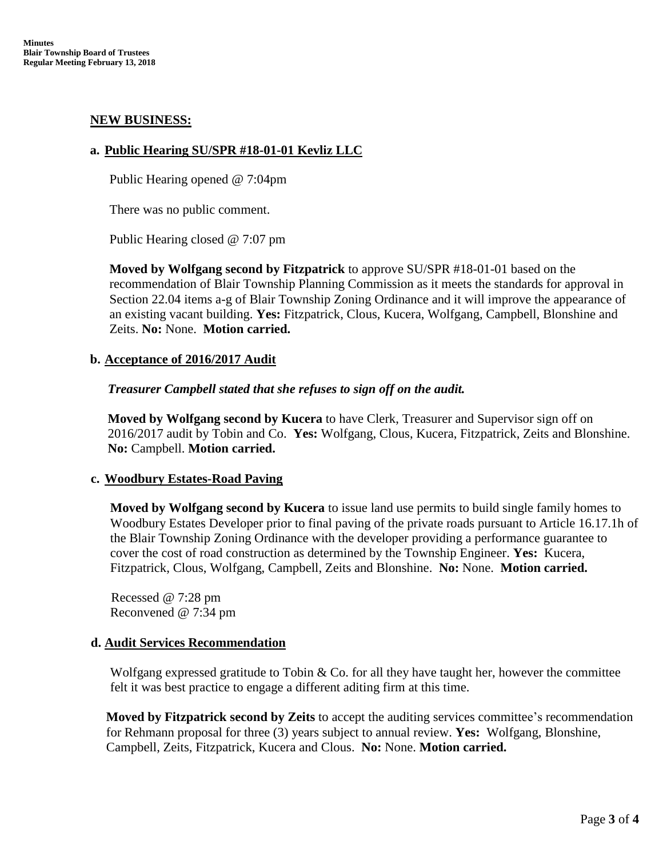### **NEW BUSINESS:**

### **a. Public Hearing SU/SPR #18-01-01 Kevliz LLC**

Public Hearing opened @ 7:04pm

There was no public comment.

Public Hearing closed @ 7:07 pm

**Moved by Wolfgang second by Fitzpatrick** to approve SU/SPR #18-01-01 based on the recommendation of Blair Township Planning Commission as it meets the standards for approval in Section 22.04 items a-g of Blair Township Zoning Ordinance and it will improve the appearance of an existing vacant building. **Yes:** Fitzpatrick, Clous, Kucera, Wolfgang, Campbell, Blonshine and Zeits. **No:** None. **Motion carried.**

### **b. Acceptance of 2016/2017 Audit**

### *Treasurer Campbell stated that she refuses to sign off on the audit.*

 **Moved by Wolfgang second by Kucera** to have Clerk, Treasurer and Supervisor sign off on 2016/2017 audit by Tobin and Co. **Yes:** Wolfgang, Clous, Kucera, Fitzpatrick, Zeits and Blonshine. **No:** Campbell. **Motion carried.**

## **c. Woodbury Estates-Road Paving**

**Moved by Wolfgang second by Kucera** to issue land use permits to build single family homes to Woodbury Estates Developer prior to final paving of the private roads pursuant to Article 16.17.1h of the Blair Township Zoning Ordinance with the developer providing a performance guarantee to cover the cost of road construction as determined by the Township Engineer. **Yes:** Kucera, Fitzpatrick, Clous, Wolfgang, Campbell, Zeits and Blonshine. **No:** None. **Motion carried.**

 Recessed @ 7:28 pm Reconvened @ 7:34 pm

#### **d. Audit Services Recommendation**

Wolfgang expressed gratitude to Tobin  $& Co.$  for all they have taught her, however the committee felt it was best practice to engage a different aditing firm at this time.

**Moved by Fitzpatrick second by Zeits** to accept the auditing services committee's recommendation for Rehmann proposal for three (3) years subject to annual review. **Yes:** Wolfgang, Blonshine, Campbell, Zeits, Fitzpatrick, Kucera and Clous. **No:** None. **Motion carried.**